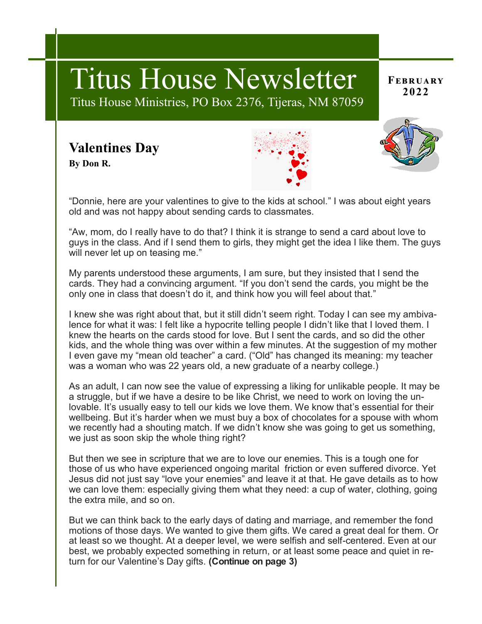# **February** Titus House Newsletter **<sup>2022</sup>**

Titus House Ministries, PO Box 2376, Tijeras, NM 87059

## **Valentines Day**

**By Don R.**





"Donnie, here are your valentines to give to the kids at school." I was about eight years old and was not happy about sending cards to classmates.

"Aw, mom, do I really have to do that? I think it is strange to send a card about love to guys in the class. And if I send them to girls, they might get the idea I like them. The guys will never let up on teasing me."

My parents understood these arguments, I am sure, but they insisted that I send the cards. They had a convincing argument. "If you don't send the cards, you might be the only one in class that doesn't do it, and think how you will feel about that."

I knew she was right about that, but it still didn't seem right. Today I can see my ambivalence for what it was: I felt like a hypocrite telling people I didn't like that I loved them. I knew the hearts on the cards stood for love. But I sent the cards, and so did the other kids, and the whole thing was over within a few minutes. At the suggestion of my mother I even gave my "mean old teacher" a card. ("Old" has changed its meaning: my teacher was a woman who was 22 years old, a new graduate of a nearby college.)

As an adult, I can now see the value of expressing a liking for unlikable people. It may be a struggle, but if we have a desire to be like Christ, we need to work on loving the unlovable. It's usually easy to tell our kids we love them. We know that's essential for their wellbeing. But it's harder when we must buy a box of chocolates for a spouse with whom we recently had a shouting match. If we didn't know she was going to get us something, we just as soon skip the whole thing right?

But then we see in scripture that we are to love our enemies. This is a tough one for those of us who have experienced ongoing marital friction or even suffered divorce. Yet Jesus did not just say "love your enemies" and leave it at that. He gave details as to how we can love them: especially giving them what they need: a cup of water, clothing, going the extra mile, and so on.

But we can think back to the early days of dating and marriage, and remember the fond motions of those days. We wanted to give them gifts. We cared a great deal for them. Or at least so we thought. At a deeper level, we were selfish and self-centered. Even at our best, we probably expected something in return, or at least some peace and quiet in return for our Valentine's Day gifts. **(Continue on page 3)**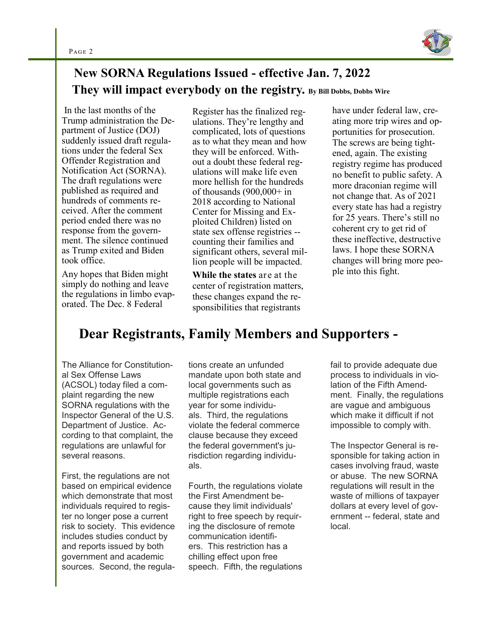

#### **New SORNA Regulations Issued - effective Jan. 7, 2022 They will impact everybody on the registry. By Bill Dobbs, Dobbs Wire**

In the last months of the Trump administration the Department of Justice (DOJ) suddenly issued draft regulations under the federal Sex Offender Registration and Notification Act (SORNA). The draft regulations were published as required and hundreds of comments received. After the comment period ended there was no response from the government. The silence continued as Trump exited and Biden took office.

Any hopes that Biden might simply do nothing and leave the regulations in limbo evaporated. The Dec. 8 Federal

Register has the finalized regulations. They're lengthy and complicated, lots of questions as to what they mean and how they will be enforced. Without a doubt these federal regulations will make life even more hellish for the hundreds of thousands  $(900,000+)$  in 2018 according to National Center for Missing and Exploited Children) listed on state sex offense registries - counting their families and significant others, several million people will be impacted.

**While the states** are at the center of registration matters, these changes expand the responsibilities that registrants

have under federal law, creating more trip wires and opportunities for prosecution. The screws are being tightened, again. The existing registry regime has produced no benefit to public safety. A more draconian regime will not change that. As of 2021 every state has had a registry for 25 years. There's still no coherent cry to get rid of these ineffective, destructive laws. I hope these SORNA changes will bring more people into this fight.

### **Dear Registrants, Family Members and Supporters -**

The Alliance for Constitutional Sex Offense Laws (ACSOL) today filed a complaint regarding the new SORNA regulations with the Inspector General of the U.S. Department of Justice. According to that complaint, the regulations are unlawful for several reasons.

First, the regulations are not based on empirical evidence which demonstrate that most individuals required to register no longer pose a current risk to society. This evidence includes studies conduct by and reports issued by both government and academic sources. Second, the regulations create an unfunded mandate upon both state and local governments such as multiple registrations each year for some individuals. Third, the regulations violate the federal commerce clause because they exceed the federal government's jurisdiction regarding individuals.

Fourth, the regulations violate the First Amendment because they limit individuals' right to free speech by requiring the disclosure of remote communication identifiers. This restriction has a chilling effect upon free speech. Fifth, the regulations fail to provide adequate due process to individuals in violation of the Fifth Amendment. Finally, the regulations are vague and ambiguous which make it difficult if not impossible to comply with.

The Inspector General is responsible for taking action in cases involving fraud, waste or abuse. The new SORNA regulations will result in the waste of millions of taxpayer dollars at every level of government -- federal, state and local.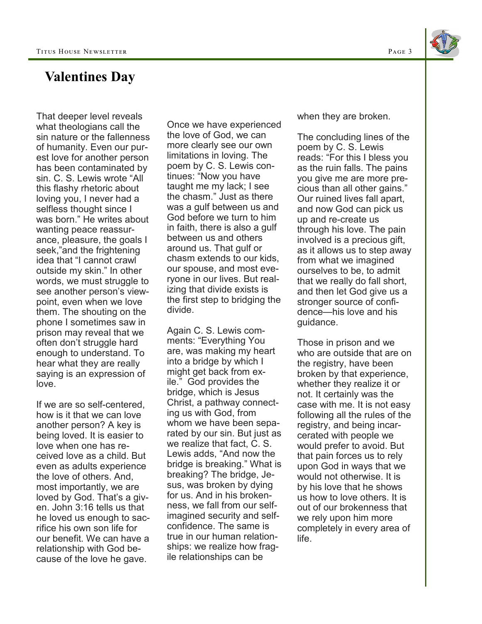

#### **Valentines Day**

That deeper level reveals what theologians call the sin nature or the fallenness of humanity. Even our purest love for another person has been contaminated by sin. C. S. Lewis wrote "All this flashy rhetoric about loving you, I never had a selfless thought since I was born." He writes about wanting peace reassurance, pleasure, the goals I seek,"and the frightening idea that "I cannot crawl outside my skin." In other words, we must struggle to see another person's viewpoint, even when we love them. The shouting on the phone I sometimes saw in prison may reveal that we often don't struggle hard enough to understand. To hear what they are really saying is an expression of love.

If we are so self-centered, how is it that we can love another person? A key is being loved. It is easier to love when one has received love as a child. But even as adults experience the love of others. And, most importantly, we are loved by God. That's a given. John 3:16 tells us that he loved us enough to sacrifice his own son life for our benefit. We can have a relationship with God because of the love he gave.

Once we have experienced the love of God, we can more clearly see our own limitations in loving. The poem by C. S. Lewis continues: "Now you have taught me my lack; I see the chasm." Just as there was a gulf between us and God before we turn to him in faith, there is also a gulf between us and others around us. That gulf or chasm extends to our kids, our spouse, and most everyone in our lives. But realizing that divide exists is the first step to bridging the divide.

Again C. S. Lewis comments: "Everything You are, was making my heart into a bridge by which I might get back from exile." God provides the bridge, which is Jesus Christ, a pathway connecting us with God, from whom we have been separated by our sin. But just as we realize that fact, C. S. Lewis adds, "And now the bridge is breaking." What is breaking? The bridge, Jesus, was broken by dying for us. And in his brokenness, we fall from our selfimagined security and selfconfidence. The same is true in our human relationships: we realize how fragile relationships can be

when they are broken.

The concluding lines of the poem by C. S. Lewis reads: "For this I bless you as the ruin falls. The pains you give me are more precious than all other gains." Our ruined lives fall apart, and now God can pick us up and re-create us through his love. The pain involved is a precious gift, as it allows us to step away from what we imagined ourselves to be, to admit that we really do fall short, and then let God give us a stronger source of confidence—his love and his guidance.

Those in prison and we who are outside that are on the registry, have been broken by that experience, whether they realize it or not. It certainly was the case with me. It is not easy following all the rules of the registry, and being incarcerated with people we would prefer to avoid. But that pain forces us to rely upon God in ways that we would not otherwise. It is by his love that he shows us how to love others. It is out of our brokenness that we rely upon him more completely in every area of life.